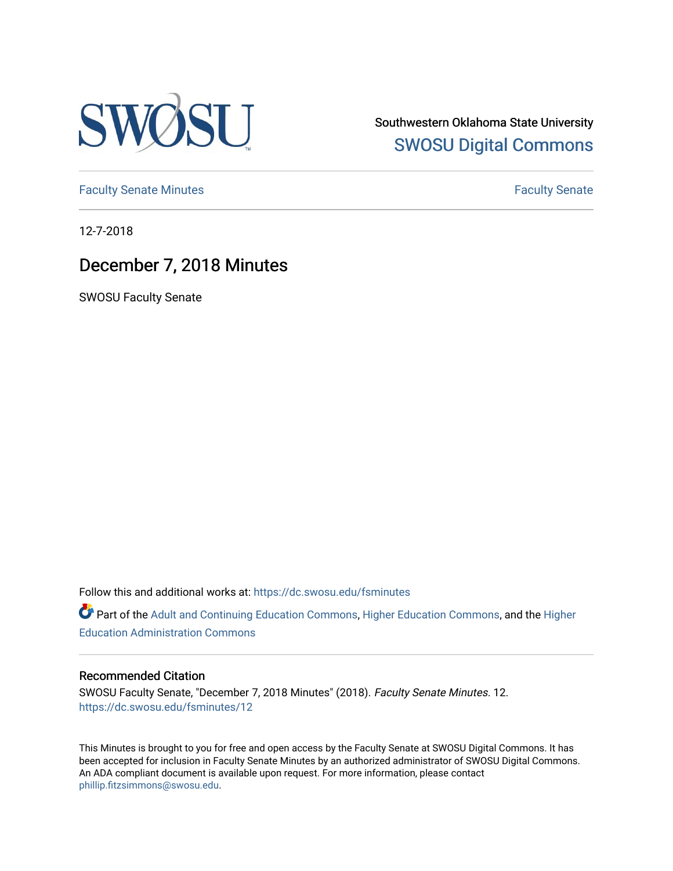

Southwestern Oklahoma State University [SWOSU Digital Commons](https://dc.swosu.edu/) 

[Faculty Senate Minutes](https://dc.swosu.edu/fsminutes) **Faculty** Senate Minutes

12-7-2018

# December 7, 2018 Minutes

SWOSU Faculty Senate

Follow this and additional works at: [https://dc.swosu.edu/fsminutes](https://dc.swosu.edu/fsminutes?utm_source=dc.swosu.edu%2Ffsminutes%2F12&utm_medium=PDF&utm_campaign=PDFCoverPages) 

Part of the [Adult and Continuing Education Commons,](http://network.bepress.com/hgg/discipline/1375?utm_source=dc.swosu.edu%2Ffsminutes%2F12&utm_medium=PDF&utm_campaign=PDFCoverPages) [Higher Education Commons,](http://network.bepress.com/hgg/discipline/1245?utm_source=dc.swosu.edu%2Ffsminutes%2F12&utm_medium=PDF&utm_campaign=PDFCoverPages) and the [Higher](http://network.bepress.com/hgg/discipline/791?utm_source=dc.swosu.edu%2Ffsminutes%2F12&utm_medium=PDF&utm_campaign=PDFCoverPages) [Education Administration Commons](http://network.bepress.com/hgg/discipline/791?utm_source=dc.swosu.edu%2Ffsminutes%2F12&utm_medium=PDF&utm_campaign=PDFCoverPages) 

#### Recommended Citation

SWOSU Faculty Senate, "December 7, 2018 Minutes" (2018). Faculty Senate Minutes. 12. [https://dc.swosu.edu/fsminutes/12](https://dc.swosu.edu/fsminutes/12?utm_source=dc.swosu.edu%2Ffsminutes%2F12&utm_medium=PDF&utm_campaign=PDFCoverPages) 

This Minutes is brought to you for free and open access by the Faculty Senate at SWOSU Digital Commons. It has been accepted for inclusion in Faculty Senate Minutes by an authorized administrator of SWOSU Digital Commons. An ADA compliant document is available upon request. For more information, please contact [phillip.fitzsimmons@swosu.edu](mailto:phillip.fitzsimmons@swosu.edu).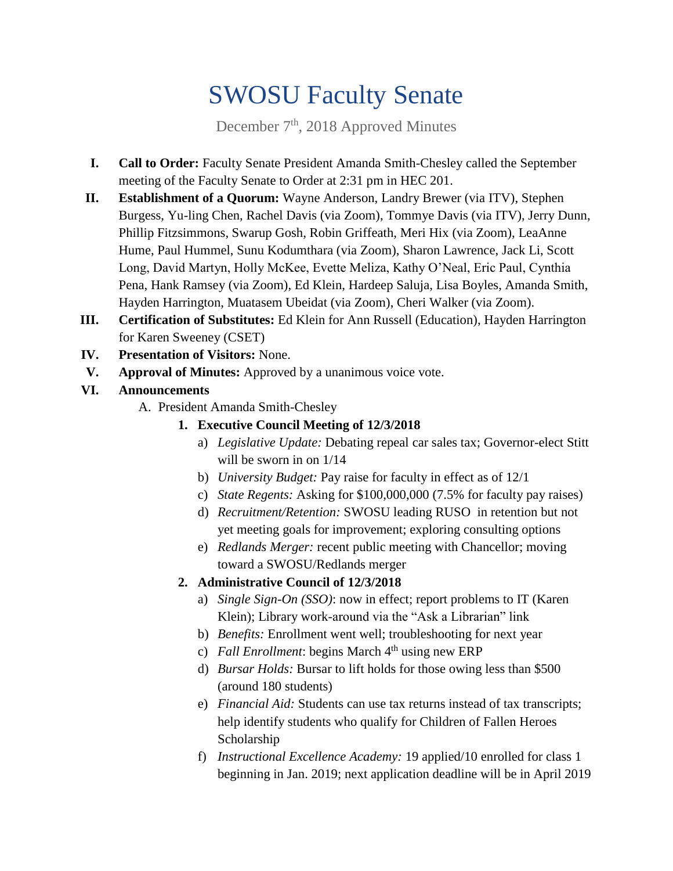# SWOSU Faculty Senate

December 7<sup>th</sup>, 2018 Approved Minutes

- **I. Call to Order:** Faculty Senate President Amanda Smith-Chesley called the September meeting of the Faculty Senate to Order at 2:31 pm in HEC 201.
- **II. Establishment of a Quorum:** Wayne Anderson, Landry Brewer (via ITV), Stephen Burgess, Yu-ling Chen, Rachel Davis (via Zoom), Tommye Davis (via ITV), Jerry Dunn, Phillip Fitzsimmons, Swarup Gosh, Robin Griffeath, Meri Hix (via Zoom), LeaAnne Hume, Paul Hummel, Sunu Kodumthara (via Zoom), Sharon Lawrence, Jack Li, Scott Long, David Martyn, Holly McKee, Evette Meliza, Kathy O'Neal, Eric Paul, Cynthia Pena, Hank Ramsey (via Zoom), Ed Klein, Hardeep Saluja, Lisa Boyles, Amanda Smith, Hayden Harrington, Muatasem Ubeidat (via Zoom), Cheri Walker (via Zoom).
- **III. Certification of Substitutes:** Ed Klein for Ann Russell (Education), Hayden Harrington for Karen Sweeney (CSET)
- **IV. Presentation of Visitors:** None.
- **V. Approval of Minutes:** Approved by a unanimous voice vote.
- **VI. Announcements**
	- A. President Amanda Smith-Chesley
		- **1. Executive Council Meeting of 12/3/2018**
			- a) *Legislative Update:* Debating repeal car sales tax; Governor-elect Stitt will be sworn in on 1/14
			- b) *University Budget:* Pay raise for faculty in effect as of 12/1
			- c) *State Regents:* Asking for \$100,000,000 (7.5% for faculty pay raises)
			- d) *Recruitment/Retention:* SWOSU leading RUSO in retention but not yet meeting goals for improvement; exploring consulting options
			- e) *Redlands Merger:* recent public meeting with Chancellor; moving toward a SWOSU/Redlands merger

# **2. Administrative Council of 12/3/2018**

- a) *Single Sign-On (SSO)*: now in effect; report problems to IT (Karen Klein); Library work-around via the "Ask a Librarian" link
- b) *Benefits:* Enrollment went well; troubleshooting for next year
- c) *Fall Enrollment*: begins March 4th using new ERP
- d) *Bursar Holds:* Bursar to lift holds for those owing less than \$500 (around 180 students)
- e) *Financial Aid:* Students can use tax returns instead of tax transcripts; help identify students who qualify for Children of Fallen Heroes Scholarship
- f) *Instructional Excellence Academy:* 19 applied/10 enrolled for class 1 beginning in Jan. 2019; next application deadline will be in April 2019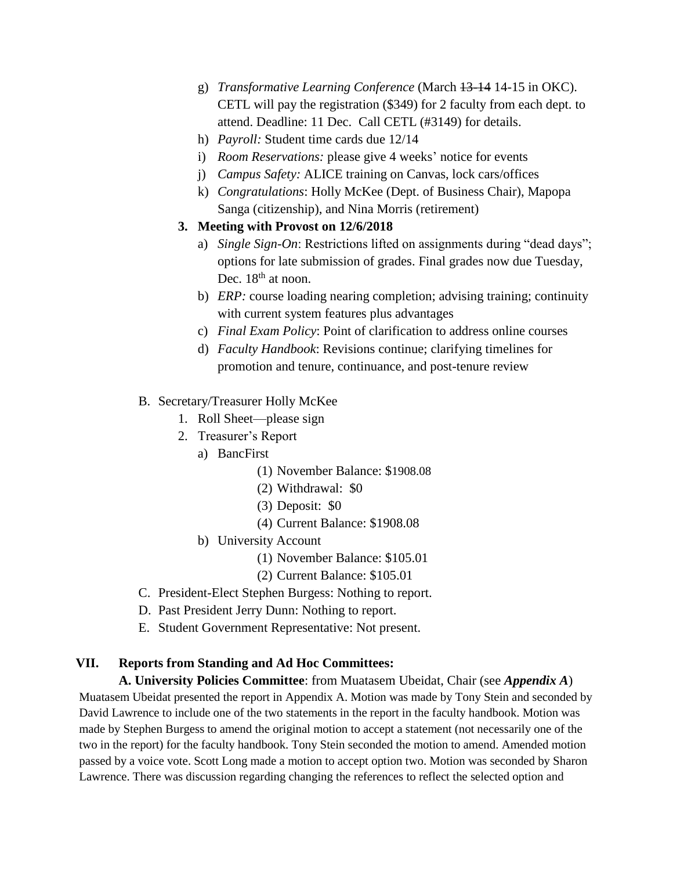- g) *Transformative Learning Conference* (March 13-14 14-15 in OKC). CETL will pay the registration (\$349) for 2 faculty from each dept. to attend. Deadline: 11 Dec. Call CETL (#3149) for details.
- h) *Payroll:* Student time cards due 12/14
- i) *Room Reservations:* please give 4 weeks' notice for events
- j) *Campus Safety:* ALICE training on Canvas, lock cars/offices
- k) *Congratulations*: Holly McKee (Dept. of Business Chair), Mapopa Sanga (citizenship), and Nina Morris (retirement)

### **3. Meeting with Provost on 12/6/2018**

- a) *Single Sign-On*: Restrictions lifted on assignments during "dead days"; options for late submission of grades. Final grades now due Tuesday, Dec. 18<sup>th</sup> at noon.
- b) *ERP:* course loading nearing completion; advising training; continuity with current system features plus advantages
- c) *Final Exam Policy*: Point of clarification to address online courses
- d) *Faculty Handbook*: Revisions continue; clarifying timelines for promotion and tenure, continuance, and post-tenure review

#### B. Secretary/Treasurer Holly McKee

- 1. Roll Sheet—please sign
- 2. Treasurer's Report
	- a) BancFirst
		- (1) November Balance: \$1908.08
		- (2) Withdrawal: \$0
		- (3) Deposit: \$0
		- (4) Current Balance: \$1908.08
	- b) University Account
		- (1) November Balance: \$105.01
		- (2) Current Balance: \$105.01
- C. President-Elect Stephen Burgess: Nothing to report.
- D. Past President Jerry Dunn: Nothing to report.
- E. Student Government Representative: Not present.

#### **VII. Reports from Standing and Ad Hoc Committees:**

**A. University Policies Committee**: from Muatasem Ubeidat, Chair (see *Appendix A*) Muatasem Ubeidat presented the report in Appendix A. Motion was made by Tony Stein and seconded by David Lawrence to include one of the two statements in the report in the faculty handbook. Motion was made by Stephen Burgess to amend the original motion to accept a statement (not necessarily one of the two in the report) for the faculty handbook. Tony Stein seconded the motion to amend. Amended motion passed by a voice vote. Scott Long made a motion to accept option two. Motion was seconded by Sharon Lawrence. There was discussion regarding changing the references to reflect the selected option and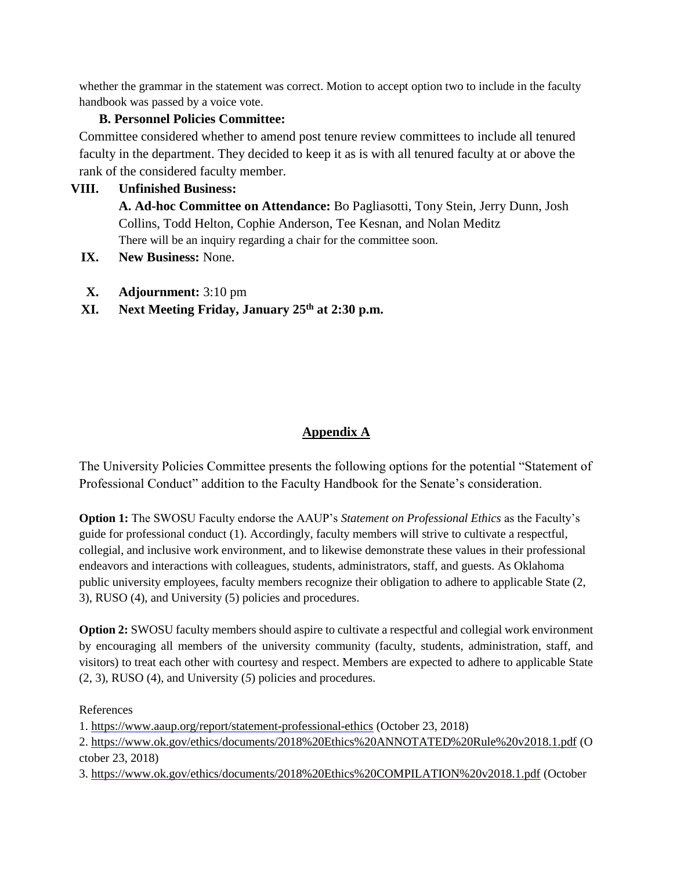whether the grammar in the statement was correct. Motion to accept option two to include in the faculty handbook was passed by a voice vote.

# **B. Personnel Policies Committee:**

Committee considered whether to amend post tenure review committees to include all tenured faculty in the department. They decided to keep it as is with all tenured faculty at or above the rank of the considered faculty member.

# **VIII. Unfinished Business:**

**A. Ad-hoc Committee on Attendance:** Bo Pagliasotti, Tony Stein, Jerry Dunn, Josh Collins, Todd Helton, Cophie Anderson, Tee Kesnan, and Nolan Meditz There will be an inquiry regarding a chair for the committee soon.

- **IX. New Business:** None.
- **X. Adjournment:** 3:10 pm
- **XI. Next Meeting Friday, January 25 th at 2:30 p.m.**

# **Appendix A**

The University Policies Committee presents the following options for the potential "Statement of Professional Conduct" addition to the Faculty Handbook for the Senate's consideration.

**Option 1:** The SWOSU Faculty endorse the AAUP's *Statement on Professional Ethics* as the Faculty's guide for professional conduct (1). Accordingly, faculty members will strive to cultivate a respectful, collegial, and inclusive work environment, and to likewise demonstrate these values in their professional endeavors and interactions with colleagues, students, administrators, staff, and guests. As Oklahoma public university employees, faculty members recognize their obligation to adhere to applicable State (2, 3), RUSO (4), and University (5) policies and procedures.

**Option 2:** SWOSU faculty members should aspire to cultivate a respectful and collegial work environment by encouraging all members of the university community (faculty, students, administration, staff, and visitors) to treat each other with courtesy and respect. Members are expected to adhere to applicable State (2, 3), RUSO (4), and University (*5*) policies and procedures.

#### References

1. <https://www.aaup.org/report/statement-professional-ethics> (October 23, 2018)

2. <https://www.ok.gov/ethics/documents/2018%20Ethics%20ANNOTATED%20Rule%20v2018.1.pdf> (O ctober 23, 2018)

3. <https://www.ok.gov/ethics/documents/2018%20Ethics%20COMPILATION%20v2018.1.pdf> (October